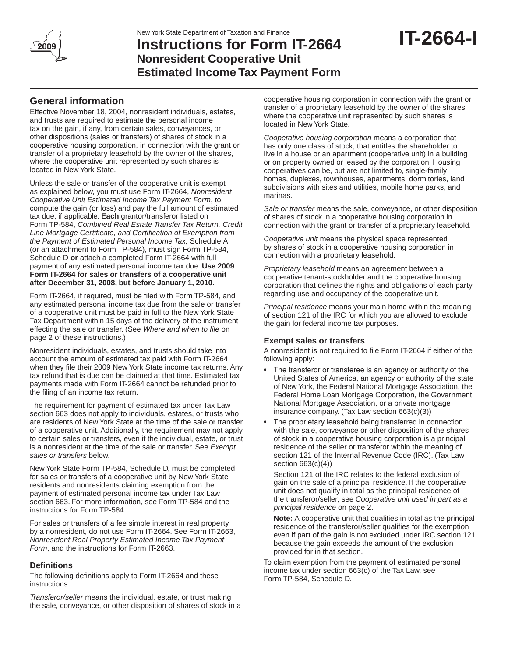

# **Instructions for Form IT-2664 Nonresident Cooperative Unit Estimated Income Tax Payment Form**

# **General information**

Effective November 18, 2004, nonresident individuals, estates, and trusts are required to estimate the personal income tax on the gain, if any, from certain sales, conveyances, or other dispositions (sales or transfers) of shares of stock in a cooperative housing corporation, in connection with the grant or transfer of a proprietary leasehold by the owner of the shares, where the cooperative unit represented by such shares is located in New York State.

Unless the sale or transfer of the cooperative unit is exempt as explained below, you must use Form IT-2664, *Nonresident Cooperative Unit Estimated Income Tax Payment Form*, to compute the gain (or loss) and pay the full amount of estimated tax due, if applicable. **Each** grantor/transferor listed on Form TP-584, *Combined Real Estate Transfer Tax Return, Credit Line Mortgage Certificate, and Certification of Exemption from the Payment of Estimated Personal Income Tax,* Schedule A (or an attachment to Form TP-584), must sign Form TP-584, Schedule D **or** attach a completed Form IT-2664 with full payment of any estimated personal income tax due. **Use 2009 Form IT-2664 for sales or transfers of a cooperative unit after December 31, 2008, but before January 1, 2010.**

Form IT-2664, if required, must be filed with Form TP-584, and any estimated personal income tax due from the sale or transfer of a cooperative unit must be paid in full to the New York State Tax Department within 15 days of the delivery of the instrument effecting the sale or transfer. (See *Where and when to file* on page 2 of these instructions.)

Nonresident individuals, estates, and trusts should take into account the amount of estimated tax paid with Form IT-2664 when they file their 2009 New York State income tax returns. Any tax refund that is due can be claimed at that time. Estimated tax payments made with Form IT-2664 cannot be refunded prior to the filing of an income tax return.

The requirement for payment of estimated tax under Tax Law section 663 does not apply to individuals, estates, or trusts who are residents of New York State at the time of the sale or transfer of a cooperative unit. Additionally, the requirement may not apply to certain sales or transfers, even if the individual, estate, or trust is a nonresident at the time of the sale or transfer. See *Exempt sales or transfers* below.

New York State Form TP-584, Schedule D, must be completed for sales or transfers of a cooperative unit by New York State residents and nonresidents claiming exemption from the payment of estimated personal income tax under Tax Law section 663. For more information, see Form TP-584 and the instructions for Form TP-584.

For sales or transfers of a fee simple interest in real property by a nonresident, do not use Form IT-2664. See Form IT-2663, *Nonresident Real Property Estimated Income Tax Payment Form*, and the instructions for Form IT-2663.

### **Definitions**

The following definitions apply to Form IT-2664 and these instructions.

*Transferor/seller* means the individual, estate, or trust making the sale, conveyance, or other disposition of shares of stock in a

cooperative housing corporation in connection with the grant or transfer of a proprietary leasehold by the owner of the shares, where the cooperative unit represented by such shares is located in New York State.

*Cooperative housing corporation* means a corporation that has only one class of stock, that entitles the shareholder to live in a house or an apartment (cooperative unit) in a building or on property owned or leased by the corporation. Housing cooperatives can be, but are not limited to, single-family homes, duplexes, townhouses, apartments, dormitories, land subdivisions with sites and utilities, mobile home parks, and marinas.

*Sale or transfer* means the sale, conveyance, or other disposition of shares of stock in a cooperative housing corporation in connection with the grant or transfer of a proprietary leasehold.

*Cooperative unit* means the physical space represented by shares of stock in a cooperative housing corporation in connection with a proprietary leasehold.

*Proprietary leasehold* means an agreement between a cooperative tenant-stockholder and the cooperative housing corporation that defines the rights and obligations of each party regarding use and occupancy of the cooperative unit.

*Principal residence* means your main home within the meaning of section 121 of the IRC for which you are allowed to exclude the gain for federal income tax purposes.

### **Exempt sales or transfers**

A nonresident is not required to file Form IT-2664 if either of the following apply:

- The transferor or transferee is an agency or authority of the United States of America, an agency or authority of the state of New York, the Federal National Mortgage Association, the Federal Home Loan Mortgage Corporation, the Government National Mortgage Association, or a private mortgage insurance company. (Tax Law section 663(c)(3))
- The proprietary leasehold being transferred in connection with the sale, conveyance or other disposition of the shares of stock in a cooperative housing corporation is a principal residence of the seller or transferor within the meaning of section 121 of the Internal Revenue Code (IRC). (Tax Law section 663(c)(4))

Section 121 of the IRC relates to the federal exclusion of gain on the sale of a principal residence. If the cooperative unit does not qualify in total as the principal residence of the transferor/seller, see *Cooperative unit used in part as a principal residence* on page 2.

**Note:** A cooperative unit that qualifies in total as the principal residence of the transferor/seller qualifies for the exemption even if part of the gain is not excluded under IRC section 121 because the gain exceeds the amount of the exclusion provided for in that section.

To claim exemption from the payment of estimated personal income tax under section 663(c) of the Tax Law, see Form TP-584, Schedule D.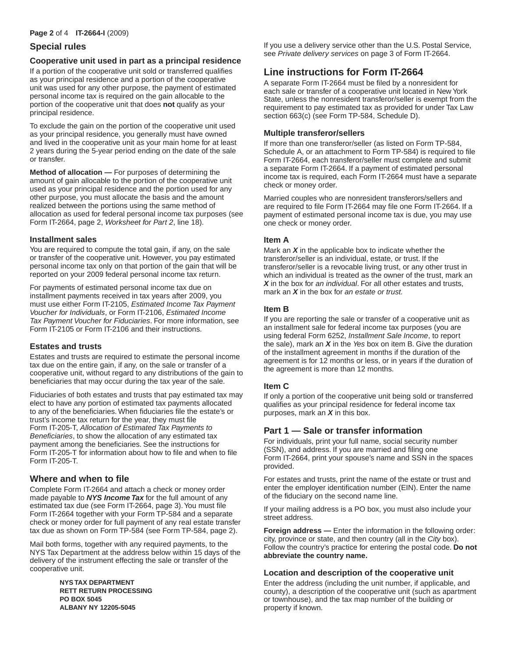## **Special rules**

### **Cooperative unit used in part as a principal residence**

If a portion of the cooperative unit sold or transferred qualifies as your principal residence and a portion of the cooperative unit was used for any other purpose, the payment of estimated personal income tax is required on the gain allocable to the portion of the cooperative unit that does **not** qualify as your principal residence.

To exclude the gain on the portion of the cooperative unit used as your principal residence, you generally must have owned and lived in the cooperative unit as your main home for at least 2 years during the 5-year period ending on the date of the sale or transfer.

**Method of allocation —** For purposes of determining the amount of gain allocable to the portion of the cooperative unit used as your principal residence and the portion used for any other purpose, you must allocate the basis and the amount realized between the portions using the same method of allocation as used for federal personal income tax purposes (see Form IT-2664, page 2, *Worksheet for Part 2*, line 18).

### **Installment sales**

You are required to compute the total gain, if any, on the sale or transfer of the cooperative unit. However, you pay estimated personal income tax only on that portion of the gain that will be reported on your 2009 federal personal income tax return.

For payments of estimated personal income tax due on installment payments received in tax years after 2009, you must use either Form IT-2105, *Estimated Income Tax Payment Voucher for Individuals*, or Form IT-2106, *Estimated Income Tax Payment Voucher for Fiduciaries*. For more information, see Form IT-2105 or Form IT-2106 and their instructions.

### **Estates and trusts**

Estates and trusts are required to estimate the personal income tax due on the entire gain, if any, on the sale or transfer of a cooperative unit, without regard to any distributions of the gain to beneficiaries that may occur during the tax year of the sale.

Fiduciaries of both estates and trusts that pay estimated tax may elect to have any portion of estimated tax payments allocated to any of the beneficiaries. When fiduciaries file the estate's or trust's income tax return for the year, they must file Form IT-205-T, *Allocation of Estimated Tax Payments to Beneficiaries*, to show the allocation of any estimated tax payment among the beneficiaries. See the instructions for Form IT-205-T for information about how to file and when to file Form IT-205-T.

## **Where and when to file**

Complete Form IT-2664 and attach a check or money order made payable to *NYS Income Tax* for the full amount of any estimated tax due (see Form IT-2664, page 3). You must file Form IT-2664 together with your Form TP-584 and a separate check or money order for full payment of any real estate transfer tax due as shown on Form TP-584 (see Form TP-584, page 2).

Mail both forms, together with any required payments, to the NYS Tax Department at the address below within 15 days of the delivery of the instrument effecting the sale or transfer of the cooperative unit.

> **NYS TAX DEPARTMENT RETT RETURN PROCESSING PO BOX 5045 ALBANY NY 12205-5045**

If you use a delivery service other than the U.S. Postal Service, see *Private delivery services* on page 3 of Form IT-2664.

# **Line instructions for Form IT-2664**

A separate Form IT-2664 must be filed by a nonresident for each sale or transfer of a cooperative unit located in New York State, unless the nonresident transferor/seller is exempt from the requirement to pay estimated tax as provided for under Tax Law section 663(c) (see Form TP-584, Schedule D).

### **Multiple transferor/sellers**

If more than one transferor/seller (as listed on Form TP-584, Schedule A, or an attachment to Form TP-584) is required to file Form IT-2664, each transferor/seller must complete and submit a separate Form IT-2664. If a payment of estimated personal income tax is required, each Form IT-2664 must have a separate check or money order.

Married couples who are nonresident transferors/sellers and are required to file Form IT-2664 may file one Form IT-2664. If a payment of estimated personal income tax is due, you may use one check or money order.

### **Item A**

Mark an *X* in the applicable box to indicate whether the transferor/seller is an individual, estate, or trust. If the transferor/seller is a revocable living trust, or any other trust in which an individual is treated as the owner of the trust, mark an *X* in the box for *an individual*. For all other estates and trusts, mark an *X* in the box for *an estate or trust.*

### **Item B**

If you are reporting the sale or transfer of a cooperative unit as an installment sale for federal income tax purposes (you are using federal Form 6252, *Installment Sale Income*, to report the sale), mark an *X* in the *Yes* box on item B. Give the duration of the installment agreement in months if the duration of the agreement is for 12 months or less, or in years if the duration of the agreement is more than 12 months.

### **Item C**

If only a portion of the cooperative unit being sold or transferred qualifies as your principal residence for federal income tax purposes, mark an *X* in this box.

## **Part 1 — Sale or transfer information**

For individuals, print your full name, social security number (SSN), and address. If you are married and filing one Form IT-2664, print your spouse's name and SSN in the spaces provided.

For estates and trusts, print the name of the estate or trust and enter the employer identification number (EIN). Enter the name of the fiduciary on the second name line.

If your mailing address is a PO box, you must also include your street address.

**Foreign address —** Enter the information in the following order: city, province or state, and then country (all in the *City* box). Follow the country's practice for entering the postal code. **Do not abbreviate the country name.**

### **Location and description of the cooperative unit**

Enter the address (including the unit number, if applicable, and county), a description of the cooperative unit (such as apartment or townhouse), and the tax map number of the building or property if known.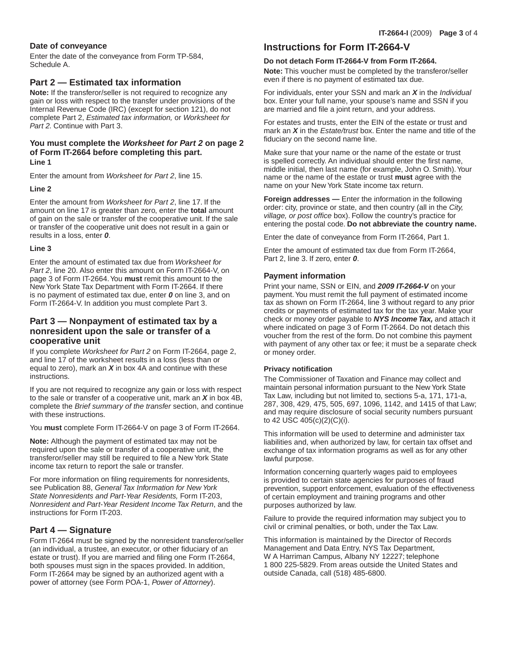### **Date of conveyance**

Enter the date of the conveyance from Form TP-584, Schedule A.

### **Part 2 — Estimated tax information**

**Note:** If the transferor/seller is not required to recognize any gain or loss with respect to the transfer under provisions of the Internal Revenue Code (IRC) (except for section 121), do not complete Part 2, *Estimated tax information,* or *Worksheet for Part 2.* Continue with Part 3.

# **You must complete the** *Worksheet for Part 2* **on page 2 of Form IT-2664 before completing this part.**

**Line 1**

Enter the amount from *Worksheet for Part 2*, line 15.

#### **Line 2**

Enter the amount from *Worksheet for Part 2*, line 17. If the amount on line 17 is greater than zero, enter the **total** amount of gain on the sale or transfer of the cooperative unit. If the sale or transfer of the cooperative unit does not result in a gain or results in a loss, enter *0*.

#### **Line 3**

Enter the amount of estimated tax due from *Worksheet for Part 2*, line 20. Also enter this amount on Form IT-2664-V, on page 3 of Form IT-2664. You **must** remit this amount to the New York State Tax Department with Form IT-2664. If there is no payment of estimated tax due, enter *0* on line 3, and on Form IT-2664-V. In addition you must complete Part 3.

### **Part 3 — Nonpayment of estimated tax by a nonresident upon the sale or transfer of a cooperative unit**

If you complete *Worksheet for Part 2* on Form IT-2664, page 2, and line 17 of the worksheet results in a loss (less than or equal to zero), mark an *X* in box 4A and continue with these instructions.

If you are not required to recognize any gain or loss with respect to the sale or transfer of a cooperative unit, mark an *X* in box 4B, complete the *Brief summary of the transfer* section, and continue with these instructions.

You **must** complete Form IT-2664-V on page 3 of Form IT-2664.

**Note:** Although the payment of estimated tax may not be required upon the sale or transfer of a cooperative unit, the transferor/seller may still be required to file a New York State income tax return to report the sale or transfer.

For more information on filing requirements for nonresidents, see Publication 88, *General Tax Information for New York State Nonresidents and Part-Year Residents,* Form IT-203, *Nonresident and Part-Year Resident Income Tax Return*, and the instructions for Form IT-203.

### **Part 4 — Signature**

Form IT-2664 must be signed by the nonresident transferor/seller (an individual, a trustee, an executor, or other fiduciary of an estate or trust). If you are married and filing one Form IT-2664, both spouses must sign in the spaces provided. In addition, Form IT-2664 may be signed by an authorized agent with a power of attorney (see Form POA-1, *Power of Attorney*).

## **Instructions for Form IT-2664-V**

#### **Do not detach Form IT-2664-V from Form IT-2664.**

**Note:** This voucher must be completed by the transferor/seller even if there is no payment of estimated tax due.

For individuals, enter your SSN and mark an *X* in the *Individual*  box. Enter your full name, your spouse's name and SSN if you are married and file a joint return, and your address.

For estates and trusts, enter the EIN of the estate or trust and mark an *X* in the *Estate/trust* box. Enter the name and title of the fiduciary on the second name line.

Make sure that your name or the name of the estate or trust is spelled correctly. An individual should enter the first name, middle initial, then last name (for example, John O. Smith). Your name or the name of the estate or trust **must** agree with the name on your New York State income tax return.

**Foreign addresses —** Enter the information in the following order: city, province or state, and then country (all in the *City, village, or post office* box). Follow the country's practice for entering the postal code. **Do not abbreviate the country name.**

Enter the date of conveyance from Form IT-2664, Part 1.

Enter the amount of estimated tax due from Form IT-2664, Part 2, line 3. If zero, enter *0*.

### **Payment information**

Print your name, SSN or EIN, and *2009 IT-2664-V* on your payment. You must remit the full payment of estimated income tax as shown on Form IT-2664, line 3 without regard to any prior credits or payments of estimated tax for the tax year. Make your check or money order payable to *NYS Income Tax,* and attach it where indicated on page 3 of Form IT-2664. Do not detach this voucher from the rest of the form. Do not combine this payment with payment of any other tax or fee; it must be a separate check or money order.

#### **Privacy notification**

The Commissioner of Taxation and Finance may collect and maintain personal information pursuant to the New York State Tax Law, including but not limited to, sections 5-a, 171, 171-a, 287, 308, 429, 475, 505, 697, 1096, 1142, and 1415 of that Law; and may require disclosure of social security numbers pursuant to 42 USC 405(c)(2)(C)(i).

This information will be used to determine and administer tax liabilities and, when authorized by law, for certain tax offset and exchange of tax information programs as well as for any other lawful purpose.

Information concerning quarterly wages paid to employees is provided to certain state agencies for purposes of fraud prevention, support enforcement, evaluation of the effectiveness of certain employment and training programs and other purposes authorized by law.

Failure to provide the required information may subject you to civil or criminal penalties, or both, under the Tax Law.

This information is maintained by the Director of Records Management and Data Entry, NYS Tax Department, W A Harriman Campus, Albany NY 12227; telephone 1 800 225-5829. From areas outside the United States and outside Canada, call (518) 485-6800.